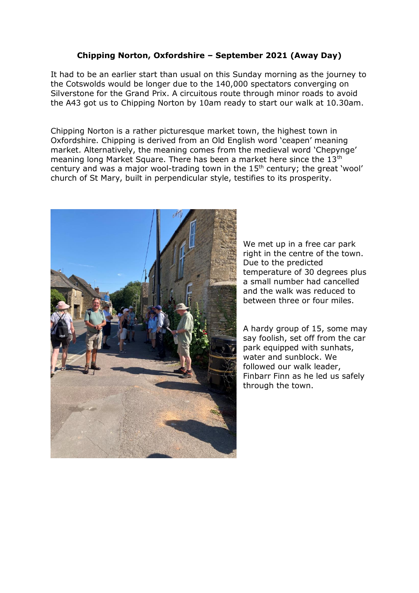## **Chipping Norton, Oxfordshire – September 2021 (Away Day)**

It had to be an earlier start than usual on this Sunday morning as the journey to the Cotswolds would be longer due to the 140,000 spectators converging on Silverstone for the Grand Prix. A circuitous route through minor roads to avoid the A43 got us to Chipping Norton by 10am ready to start our walk at 10.30am.

Chipping Norton is a rather picturesque market town, the highest town in Oxfordshire. Chipping is derived from an Old English word 'ceapen' meaning market. Alternatively, the meaning comes from the medieval word 'Chepynge' meaning long Market Square. There has been a market here since the 13<sup>th</sup> century and was a major wool-trading town in the  $15<sup>th</sup>$  century; the great 'wool' church of St Mary, built in perpendicular style, testifies to its prosperity.



We met up in a free car park right in the centre of the town. Due to the predicted temperature of 30 degrees plus a small number had cancelled and the walk was reduced to between three or four miles.

A hardy group of 15, some may say foolish, set off from the car park equipped with sunhats, water and sunblock. We followed our walk leader, Finbarr Finn as he led us safely through the town.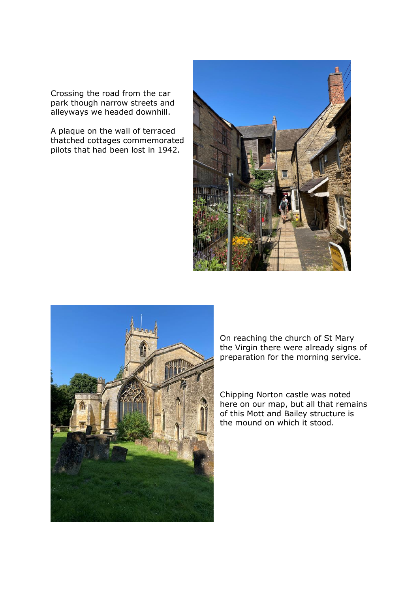Crossing the road from the car park though narrow streets and alleyways we headed downhill.

A plaque on the wall of terraced thatched cottages commemorated pilots that had been lost in 1942.





On reaching the church of St Mary the Virgin there were already signs of preparation for the morning service.

Chipping Norton castle was noted here on our map, but all that remains of this Mott and Bailey structure is the mound on which it stood.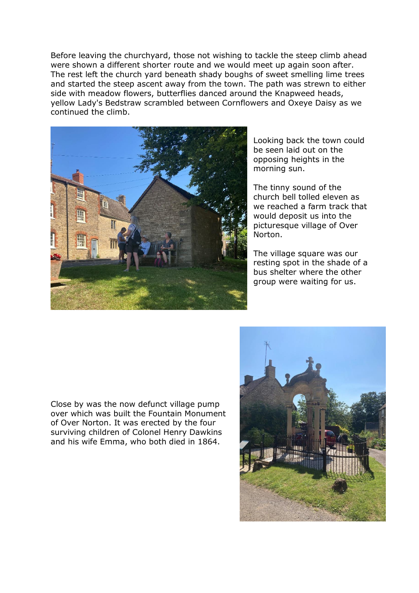Before leaving the churchyard, those not wishing to tackle the steep climb ahead were shown a different shorter route and we would meet up again soon after. The rest left the church yard beneath shady boughs of sweet smelling lime trees and started the steep ascent away from the town. The path was strewn to either side with meadow flowers, butterflies danced around the Knapweed heads, yellow Lady's Bedstraw scrambled between Cornflowers and Oxeye Daisy as we continued the climb.



Looking back the town could be seen laid out on the opposing heights in the morning sun.

The tinny sound of the church bell tolled eleven as we reached a farm track that would deposit us into the picturesque village of Over Norton.

The village square was our resting spot in the shade of a bus shelter where the other group were waiting for us.

Close by was the now defunct village pump over which was built the Fountain Monument of Over Norton. It was erected by the four surviving children of Colonel Henry Dawkins and his wife Emma, who both died in 1864.